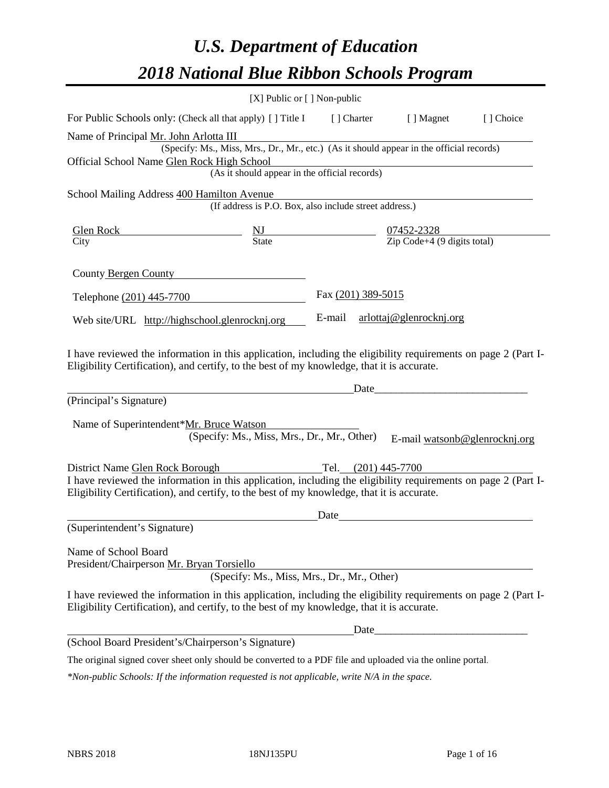# *U.S. Department of Education 2018 National Blue Ribbon Schools Program*

|                                                                                                                                                                                                              | [X] Public or [] Non-public                                                              |                     |                               |           |
|--------------------------------------------------------------------------------------------------------------------------------------------------------------------------------------------------------------|------------------------------------------------------------------------------------------|---------------------|-------------------------------|-----------|
| For Public Schools only: (Check all that apply) [ ] Title I                                                                                                                                                  |                                                                                          | [ ] Charter         | [ ] Magnet                    | [] Choice |
| Name of Principal Mr. John Arlotta III                                                                                                                                                                       |                                                                                          |                     |                               |           |
|                                                                                                                                                                                                              | (Specify: Ms., Miss, Mrs., Dr., Mr., etc.) (As it should appear in the official records) |                     |                               |           |
| Official School Name Glen Rock High School                                                                                                                                                                   |                                                                                          |                     |                               |           |
|                                                                                                                                                                                                              | (As it should appear in the official records)                                            |                     |                               |           |
| School Mailing Address 400 Hamilton Avenue                                                                                                                                                                   |                                                                                          |                     |                               |           |
|                                                                                                                                                                                                              | (If address is P.O. Box, also include street address.)                                   |                     |                               |           |
|                                                                                                                                                                                                              |                                                                                          |                     |                               |           |
|                                                                                                                                                                                                              |                                                                                          |                     |                               |           |
| County Bergen County                                                                                                                                                                                         |                                                                                          |                     |                               |           |
| Telephone (201) 445-7700                                                                                                                                                                                     |                                                                                          | Fax (201) 389-5015  |                               |           |
| Web site/URL http://highschool.glenrocknj.org                                                                                                                                                                |                                                                                          | E-mail              | arlottaj@glenrocknj.org       |           |
| (Principal's Signature)<br>Name of Superintendent*Mr. Bruce Watson                                                                                                                                           | (Specify: Ms., Miss, Mrs., Dr., Mr., Other)                                              | Date_               | E-mail watsonb@glenrocknj.org |           |
| District Name Glen Rock Borough                                                                                                                                                                              |                                                                                          | Tel. (201) 445-7700 |                               |           |
| I have reviewed the information in this application, including the eligibility requirements on page 2 (Part I-<br>Eligibility Certification), and certify, to the best of my knowledge, that it is accurate. |                                                                                          |                     |                               |           |
|                                                                                                                                                                                                              |                                                                                          | Date                |                               |           |
| (Superintendent's Signature)                                                                                                                                                                                 |                                                                                          |                     |                               |           |
| Name of School Board<br>President/Chairperson Mr. Bryan Torsiello                                                                                                                                            | (Specify: Ms., Miss, Mrs., Dr., Mr., Other)                                              |                     |                               |           |
| I have reviewed the information in this application, including the eligibility requirements on page 2 (Part I-<br>Eligibility Certification), and certify, to the best of my knowledge, that it is accurate. |                                                                                          |                     |                               |           |
|                                                                                                                                                                                                              |                                                                                          | Date                |                               |           |
| (School Board President's/Chairperson's Signature)                                                                                                                                                           |                                                                                          |                     |                               |           |
| The original signed cover sheet only should be converted to a PDF file and uploaded via the online portal.                                                                                                   |                                                                                          |                     |                               |           |

*\*Non-public Schools: If the information requested is not applicable, write N/A in the space.*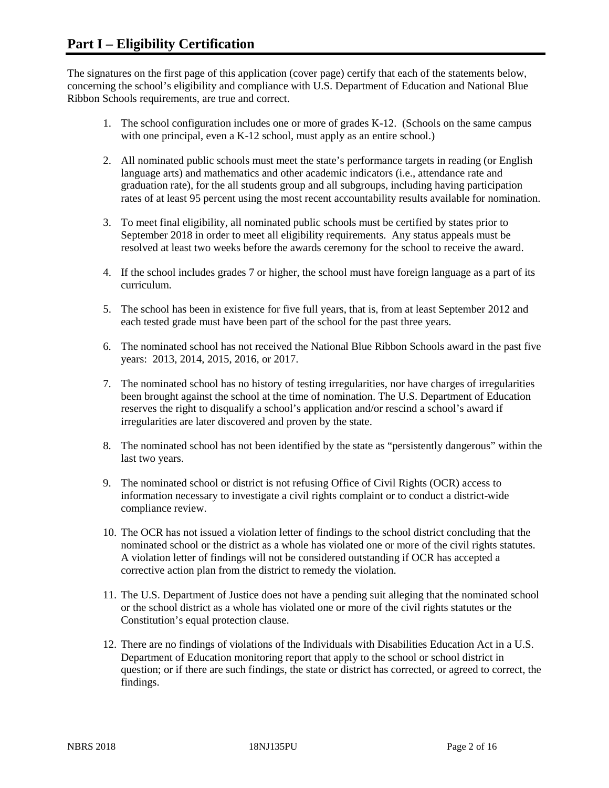The signatures on the first page of this application (cover page) certify that each of the statements below, concerning the school's eligibility and compliance with U.S. Department of Education and National Blue Ribbon Schools requirements, are true and correct.

- 1. The school configuration includes one or more of grades K-12. (Schools on the same campus with one principal, even a K-12 school, must apply as an entire school.)
- 2. All nominated public schools must meet the state's performance targets in reading (or English language arts) and mathematics and other academic indicators (i.e., attendance rate and graduation rate), for the all students group and all subgroups, including having participation rates of at least 95 percent using the most recent accountability results available for nomination.
- 3. To meet final eligibility, all nominated public schools must be certified by states prior to September 2018 in order to meet all eligibility requirements. Any status appeals must be resolved at least two weeks before the awards ceremony for the school to receive the award.
- 4. If the school includes grades 7 or higher, the school must have foreign language as a part of its curriculum.
- 5. The school has been in existence for five full years, that is, from at least September 2012 and each tested grade must have been part of the school for the past three years.
- 6. The nominated school has not received the National Blue Ribbon Schools award in the past five years: 2013, 2014, 2015, 2016, or 2017.
- 7. The nominated school has no history of testing irregularities, nor have charges of irregularities been brought against the school at the time of nomination. The U.S. Department of Education reserves the right to disqualify a school's application and/or rescind a school's award if irregularities are later discovered and proven by the state.
- 8. The nominated school has not been identified by the state as "persistently dangerous" within the last two years.
- 9. The nominated school or district is not refusing Office of Civil Rights (OCR) access to information necessary to investigate a civil rights complaint or to conduct a district-wide compliance review.
- 10. The OCR has not issued a violation letter of findings to the school district concluding that the nominated school or the district as a whole has violated one or more of the civil rights statutes. A violation letter of findings will not be considered outstanding if OCR has accepted a corrective action plan from the district to remedy the violation.
- 11. The U.S. Department of Justice does not have a pending suit alleging that the nominated school or the school district as a whole has violated one or more of the civil rights statutes or the Constitution's equal protection clause.
- 12. There are no findings of violations of the Individuals with Disabilities Education Act in a U.S. Department of Education monitoring report that apply to the school or school district in question; or if there are such findings, the state or district has corrected, or agreed to correct, the findings.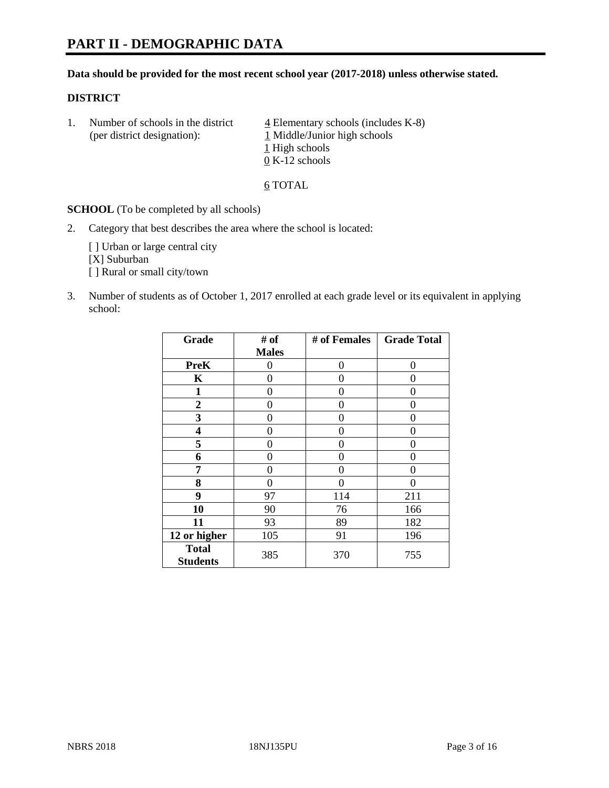# **PART II - DEMOGRAPHIC DATA**

#### **Data should be provided for the most recent school year (2017-2018) unless otherwise stated.**

#### **DISTRICT**

1. Number of schools in the district  $\frac{4}{4}$  Elementary schools (includes K-8) (per district designation): 1 Middle/Junior high schools 1 High schools 0 K-12 schools

6 TOTAL

**SCHOOL** (To be completed by all schools)

2. Category that best describes the area where the school is located:

[] Urban or large central city [X] Suburban [] Rural or small city/town

3. Number of students as of October 1, 2017 enrolled at each grade level or its equivalent in applying school:

| Grade                           | # of         | # of Females | <b>Grade Total</b> |
|---------------------------------|--------------|--------------|--------------------|
|                                 | <b>Males</b> |              |                    |
| <b>PreK</b>                     | 0            | 0            | 0                  |
| K                               | 0            | 0            | 0                  |
| $\mathbf{1}$                    | 0            | 0            | 0                  |
| 2                               | 0            | 0            | 0                  |
| 3                               | 0            | 0            | 0                  |
| 4                               | 0            | 0            | 0                  |
| 5                               | 0            | 0            | 0                  |
| 6                               | 0            | 0            | 0                  |
| 7                               | 0            | 0            | 0                  |
| 8                               | 0            | 0            | 0                  |
| 9                               | 97           | 114          | 211                |
| 10                              | 90           | 76           | 166                |
| 11                              | 93           | 89           | 182                |
| 12 or higher                    | 105          | 91           | 196                |
| <b>Total</b><br><b>Students</b> | 385          | 370          | 755                |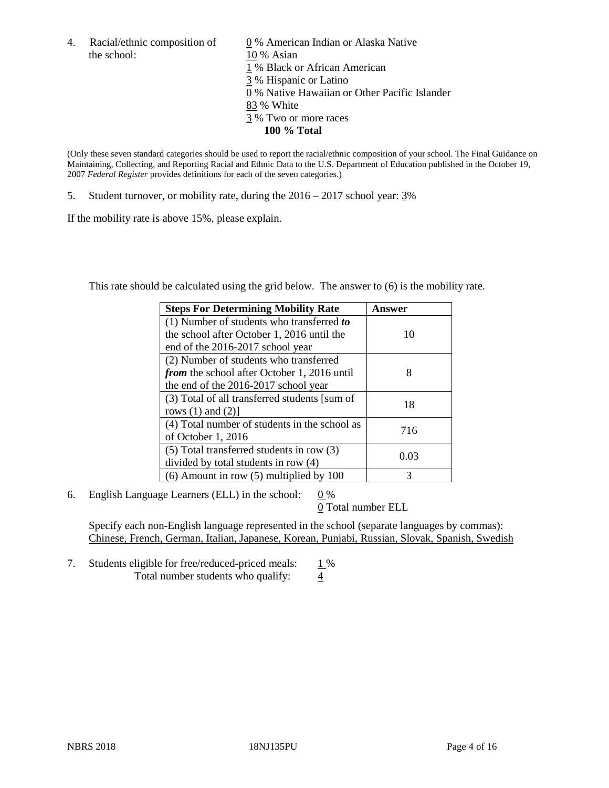the school: 10 % Asian

4. Racial/ethnic composition of  $\qquad 0\%$  American Indian or Alaska Native 1 % Black or African American 3 % Hispanic or Latino 0 % Native Hawaiian or Other Pacific Islander 83 % White 3 % Two or more races **100 % Total**

(Only these seven standard categories should be used to report the racial/ethnic composition of your school. The Final Guidance on Maintaining, Collecting, and Reporting Racial and Ethnic Data to the U.S. Department of Education published in the October 19, 2007 *Federal Register* provides definitions for each of the seven categories.)

5. Student turnover, or mobility rate, during the 2016 – 2017 school year: 3%

If the mobility rate is above 15%, please explain.

This rate should be calculated using the grid below. The answer to (6) is the mobility rate.

| <b>Steps For Determining Mobility Rate</b>         | Answer |
|----------------------------------------------------|--------|
| (1) Number of students who transferred to          |        |
| the school after October 1, 2016 until the         | 10     |
| end of the 2016-2017 school year                   |        |
| (2) Number of students who transferred             |        |
| <i>from</i> the school after October 1, 2016 until | 8      |
| the end of the 2016-2017 school year               |        |
| (3) Total of all transferred students [sum of      | 18     |
| rows $(1)$ and $(2)$ ]                             |        |
| (4) Total number of students in the school as      |        |
| of October 1, 2016                                 | 716    |
| (5) Total transferred students in row (3)          |        |
| divided by total students in row (4)               | 0.03   |
| $(6)$ Amount in row $(5)$ multiplied by 100        | 3      |

6. English Language Learners (ELL) in the school:  $0\%$ 

0 Total number ELL

Specify each non-English language represented in the school (separate languages by commas): Chinese, French, German, Italian, Japanese, Korean, Punjabi, Russian, Slovak, Spanish, Swedish

7. Students eligible for free/reduced-priced meals: 1% Total number students who qualify:  $\frac{4}{9}$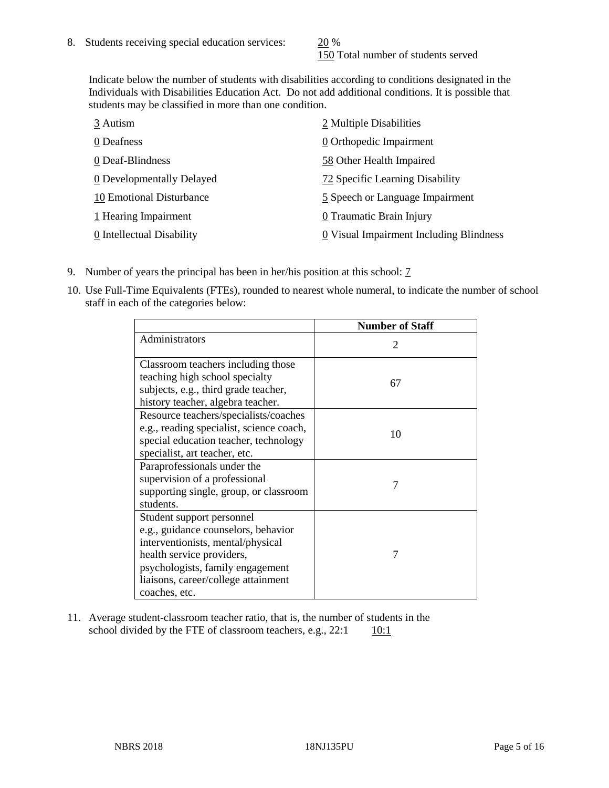150 Total number of students served

Indicate below the number of students with disabilities according to conditions designated in the Individuals with Disabilities Education Act. Do not add additional conditions. It is possible that students may be classified in more than one condition.

| 3 Autism                  | 2 Multiple Disabilities                 |
|---------------------------|-----------------------------------------|
| 0 Deafness                | 0 Orthopedic Impairment                 |
| 0 Deaf-Blindness          | 58 Other Health Impaired                |
| 0 Developmentally Delayed | 72 Specific Learning Disability         |
| 10 Emotional Disturbance  | 5 Speech or Language Impairment         |
| 1 Hearing Impairment      | 0 Traumatic Brain Injury                |
| 0 Intellectual Disability | 0 Visual Impairment Including Blindness |

- 9. Number of years the principal has been in her/his position at this school: 7
- 10. Use Full-Time Equivalents (FTEs), rounded to nearest whole numeral, to indicate the number of school staff in each of the categories below:

|                                                                                                                                                                                                                                | <b>Number of Staff</b>      |
|--------------------------------------------------------------------------------------------------------------------------------------------------------------------------------------------------------------------------------|-----------------------------|
| Administrators                                                                                                                                                                                                                 | $\mathcal{D}_{\mathcal{L}}$ |
| Classroom teachers including those<br>teaching high school specialty<br>subjects, e.g., third grade teacher,<br>history teacher, algebra teacher.                                                                              | 67                          |
| Resource teachers/specialists/coaches<br>e.g., reading specialist, science coach,<br>special education teacher, technology<br>specialist, art teacher, etc.                                                                    | 10                          |
| Paraprofessionals under the<br>supervision of a professional<br>supporting single, group, or classroom<br>students.                                                                                                            | 7                           |
| Student support personnel<br>e.g., guidance counselors, behavior<br>interventionists, mental/physical<br>health service providers,<br>psychologists, family engagement<br>liaisons, career/college attainment<br>coaches, etc. | 7                           |

11. Average student-classroom teacher ratio, that is, the number of students in the school divided by the FTE of classroom teachers, e.g.,  $22:1$  10:1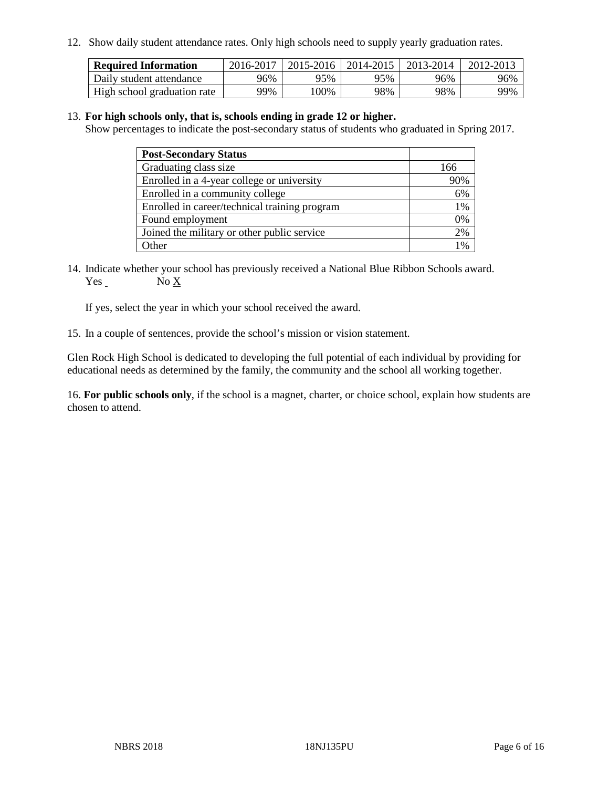12. Show daily student attendance rates. Only high schools need to supply yearly graduation rates.

| <b>Required Information</b> | 2016-2017 | 2015-2016 | 2014-2015 | 2013-2014 | 2012-2013 |
|-----------------------------|-----------|-----------|-----------|-----------|-----------|
| Daily student attendance    | 96%       | 95%       | 95%       | 96%       | 96%       |
| High school graduation rate | 99%       | 00%       | 98%       | 98%       | 99%       |

#### 13. **For high schools only, that is, schools ending in grade 12 or higher.**

Show percentages to indicate the post-secondary status of students who graduated in Spring 2017.

| <b>Post-Secondary Status</b>                  |     |
|-----------------------------------------------|-----|
| Graduating class size                         | 166 |
| Enrolled in a 4-year college or university    | 90% |
| Enrolled in a community college               | 6%  |
| Enrolled in career/technical training program | 1%  |
| Found employment                              | 0%  |
| Joined the military or other public service   | 2%  |
| Other                                         | 0/  |

14. Indicate whether your school has previously received a National Blue Ribbon Schools award. Yes No X

If yes, select the year in which your school received the award.

15. In a couple of sentences, provide the school's mission or vision statement.

Glen Rock High School is dedicated to developing the full potential of each individual by providing for educational needs as determined by the family, the community and the school all working together.

16. **For public schools only**, if the school is a magnet, charter, or choice school, explain how students are chosen to attend.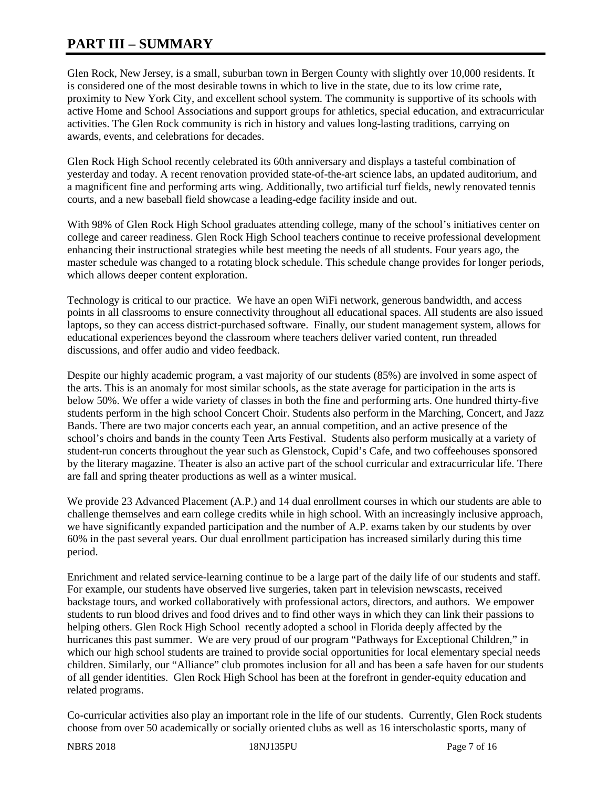# **PART III – SUMMARY**

Glen Rock, New Jersey, is a small, suburban town in Bergen County with slightly over 10,000 residents. It is considered one of the most desirable towns in which to live in the state, due to its low crime rate, proximity to New York City, and excellent school system. The community is supportive of its schools with active Home and School Associations and support groups for athletics, special education, and extracurricular activities. The Glen Rock community is rich in history and values long-lasting traditions, carrying on awards, events, and celebrations for decades.

Glen Rock High School recently celebrated its 60th anniversary and displays a tasteful combination of yesterday and today. A recent renovation provided state-of-the-art science labs, an updated auditorium, and a magnificent fine and performing arts wing. Additionally, two artificial turf fields, newly renovated tennis courts, and a new baseball field showcase a leading-edge facility inside and out.

With 98% of Glen Rock High School graduates attending college, many of the school's initiatives center on college and career readiness. Glen Rock High School teachers continue to receive professional development enhancing their instructional strategies while best meeting the needs of all students. Four years ago, the master schedule was changed to a rotating block schedule. This schedule change provides for longer periods, which allows deeper content exploration.

Technology is critical to our practice. We have an open WiFi network, generous bandwidth, and access points in all classrooms to ensure connectivity throughout all educational spaces. All students are also issued laptops, so they can access district-purchased software. Finally, our student management system, allows for educational experiences beyond the classroom where teachers deliver varied content, run threaded discussions, and offer audio and video feedback.

Despite our highly academic program, a vast majority of our students (85%) are involved in some aspect of the arts. This is an anomaly for most similar schools, as the state average for participation in the arts is below 50%. We offer a wide variety of classes in both the fine and performing arts. One hundred thirty-five students perform in the high school Concert Choir. Students also perform in the Marching, Concert, and Jazz Bands. There are two major concerts each year, an annual competition, and an active presence of the school's choirs and bands in the county Teen Arts Festival. Students also perform musically at a variety of student-run concerts throughout the year such as Glenstock, Cupid's Cafe, and two coffeehouses sponsored by the literary magazine. Theater is also an active part of the school curricular and extracurricular life. There are fall and spring theater productions as well as a winter musical.

We provide 23 Advanced Placement (A.P.) and 14 dual enrollment courses in which our students are able to challenge themselves and earn college credits while in high school. With an increasingly inclusive approach, we have significantly expanded participation and the number of A.P. exams taken by our students by over 60% in the past several years. Our dual enrollment participation has increased similarly during this time period.

Enrichment and related service-learning continue to be a large part of the daily life of our students and staff. For example, our students have observed live surgeries, taken part in television newscasts, received backstage tours, and worked collaboratively with professional actors, directors, and authors. We empower students to run blood drives and food drives and to find other ways in which they can link their passions to helping others. Glen Rock High School recently adopted a school in Florida deeply affected by the hurricanes this past summer. We are very proud of our program "Pathways for Exceptional Children," in which our high school students are trained to provide social opportunities for local elementary special needs children. Similarly, our "Alliance" club promotes inclusion for all and has been a safe haven for our students of all gender identities. Glen Rock High School has been at the forefront in gender-equity education and related programs.

Co-curricular activities also play an important role in the life of our students. Currently, Glen Rock students choose from over 50 academically or socially oriented clubs as well as 16 interscholastic sports, many of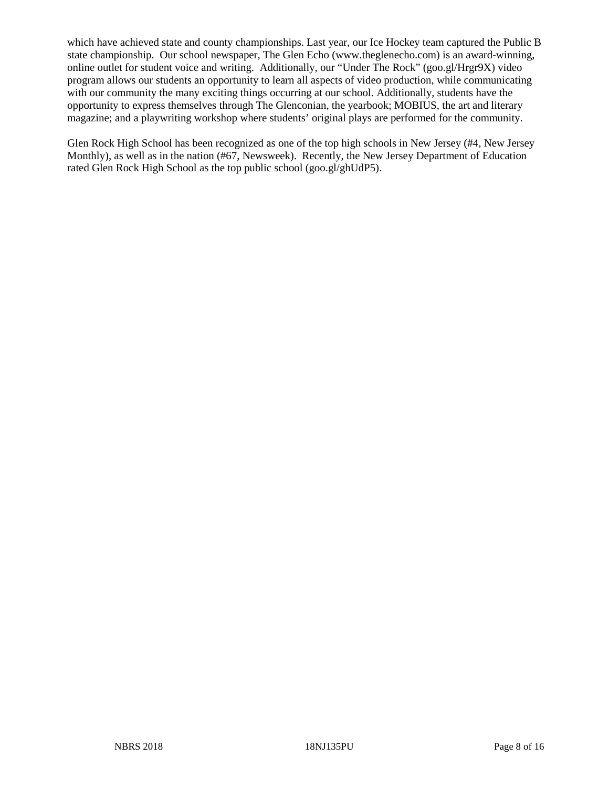which have achieved state and county championships. Last year, our Ice Hockey team captured the Public B state championship. Our school newspaper, The Glen Echo (www.theglenecho.com) is an award-winning, online outlet for student voice and writing. Additionally, our "Under The Rock" (goo.gl/Hrgr9X) video program allows our students an opportunity to learn all aspects of video production, while communicating with our community the many exciting things occurring at our school. Additionally, students have the opportunity to express themselves through The Glenconian, the yearbook; MOBIUS, the art and literary magazine; and a playwriting workshop where students' original plays are performed for the community.

Glen Rock High School has been recognized as one of the top high schools in New Jersey (#4, New Jersey Monthly), as well as in the nation (#67, Newsweek). Recently, the New Jersey Department of Education rated Glen Rock High School as the top public school (goo.gl/ghUdP5).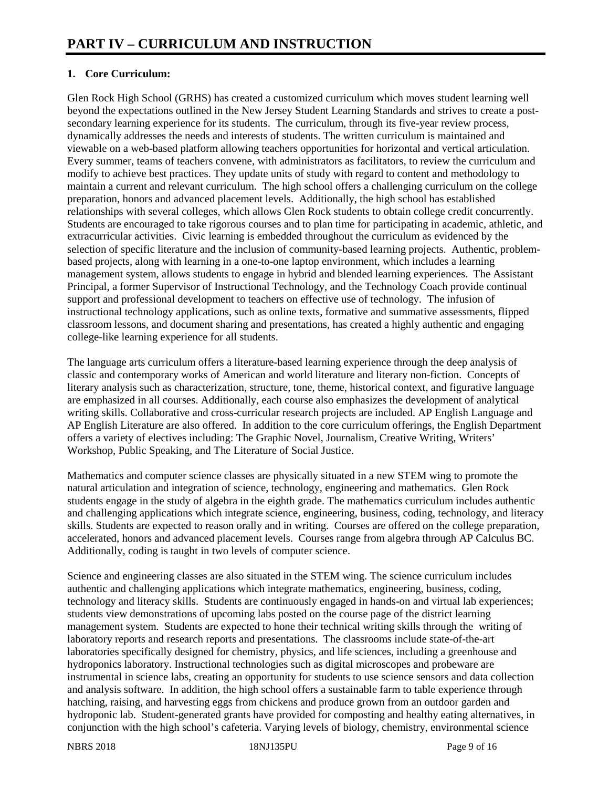# **1. Core Curriculum:**

Glen Rock High School (GRHS) has created a customized curriculum which moves student learning well beyond the expectations outlined in the New Jersey Student Learning Standards and strives to create a postsecondary learning experience for its students. The curriculum, through its five-year review process, dynamically addresses the needs and interests of students. The written curriculum is maintained and viewable on a web-based platform allowing teachers opportunities for horizontal and vertical articulation. Every summer, teams of teachers convene, with administrators as facilitators, to review the curriculum and modify to achieve best practices. They update units of study with regard to content and methodology to maintain a current and relevant curriculum. The high school offers a challenging curriculum on the college preparation, honors and advanced placement levels. Additionally, the high school has established relationships with several colleges, which allows Glen Rock students to obtain college credit concurrently. Students are encouraged to take rigorous courses and to plan time for participating in academic, athletic, and extracurricular activities. Civic learning is embedded throughout the curriculum as evidenced by the selection of specific literature and the inclusion of community-based learning projects. Authentic, problembased projects, along with learning in a one-to-one laptop environment, which includes a learning management system, allows students to engage in hybrid and blended learning experiences. The Assistant Principal, a former Supervisor of Instructional Technology, and the Technology Coach provide continual support and professional development to teachers on effective use of technology. The infusion of instructional technology applications, such as online texts, formative and summative assessments, flipped classroom lessons, and document sharing and presentations, has created a highly authentic and engaging college-like learning experience for all students.

The language arts curriculum offers a literature-based learning experience through the deep analysis of classic and contemporary works of American and world literature and literary non-fiction. Concepts of literary analysis such as characterization, structure, tone, theme, historical context, and figurative language are emphasized in all courses. Additionally, each course also emphasizes the development of analytical writing skills. Collaborative and cross-curricular research projects are included. AP English Language and AP English Literature are also offered. In addition to the core curriculum offerings, the English Department offers a variety of electives including: The Graphic Novel, Journalism, Creative Writing, Writers' Workshop, Public Speaking, and The Literature of Social Justice.

Mathematics and computer science classes are physically situated in a new STEM wing to promote the natural articulation and integration of science, technology, engineering and mathematics. Glen Rock students engage in the study of algebra in the eighth grade. The mathematics curriculum includes authentic and challenging applications which integrate science, engineering, business, coding, technology, and literacy skills. Students are expected to reason orally and in writing. Courses are offered on the college preparation, accelerated, honors and advanced placement levels. Courses range from algebra through AP Calculus BC. Additionally, coding is taught in two levels of computer science.

Science and engineering classes are also situated in the STEM wing. The science curriculum includes authentic and challenging applications which integrate mathematics, engineering, business, coding, technology and literacy skills. Students are continuously engaged in hands-on and virtual lab experiences; students view demonstrations of upcoming labs posted on the course page of the district learning management system. Students are expected to hone their technical writing skills through the writing of laboratory reports and research reports and presentations. The classrooms include state-of-the-art laboratories specifically designed for chemistry, physics, and life sciences, including a greenhouse and hydroponics laboratory. Instructional technologies such as digital microscopes and probeware are instrumental in science labs, creating an opportunity for students to use science sensors and data collection and analysis software. In addition, the high school offers a sustainable farm to table experience through hatching, raising, and harvesting eggs from chickens and produce grown from an outdoor garden and hydroponic lab. Student-generated grants have provided for composting and healthy eating alternatives, in conjunction with the high school's cafeteria. Varying levels of biology, chemistry, environmental science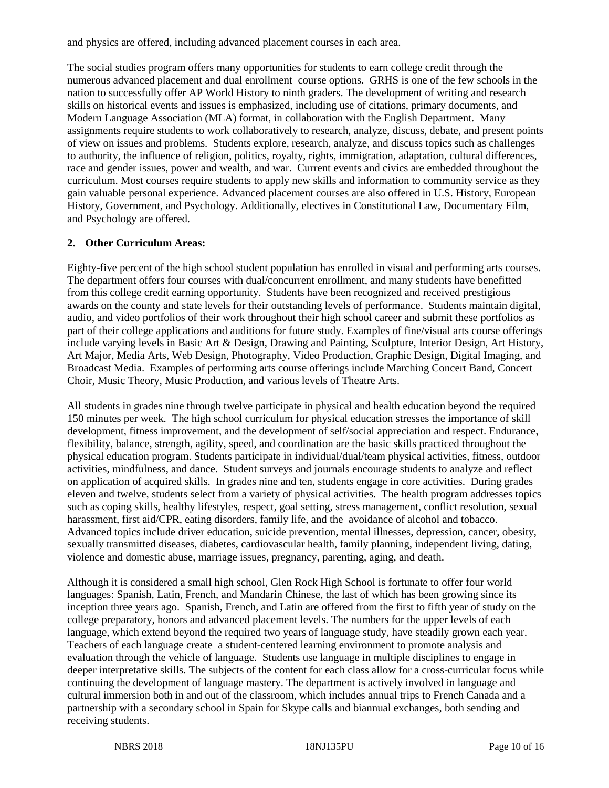and physics are offered, including advanced placement courses in each area.

The social studies program offers many opportunities for students to earn college credit through the numerous advanced placement and dual enrollment course options. GRHS is one of the few schools in the nation to successfully offer AP World History to ninth graders. The development of writing and research skills on historical events and issues is emphasized, including use of citations, primary documents, and Modern Language Association (MLA) format, in collaboration with the English Department. Many assignments require students to work collaboratively to research, analyze, discuss, debate, and present points of view on issues and problems. Students explore, research, analyze, and discuss topics such as challenges to authority, the influence of religion, politics, royalty, rights, immigration, adaptation, cultural differences, race and gender issues, power and wealth, and war. Current events and civics are embedded throughout the curriculum. Most courses require students to apply new skills and information to community service as they gain valuable personal experience. Advanced placement courses are also offered in U.S. History, European History, Government, and Psychology. Additionally, electives in Constitutional Law, Documentary Film, and Psychology are offered.

## **2. Other Curriculum Areas:**

Eighty-five percent of the high school student population has enrolled in visual and performing arts courses. The department offers four courses with dual/concurrent enrollment, and many students have benefitted from this college credit earning opportunity. Students have been recognized and received prestigious awards on the county and state levels for their outstanding levels of performance. Students maintain digital, audio, and video portfolios of their work throughout their high school career and submit these portfolios as part of their college applications and auditions for future study. Examples of fine/visual arts course offerings include varying levels in Basic Art & Design, Drawing and Painting, Sculpture, Interior Design, Art History, Art Major, Media Arts, Web Design, Photography, Video Production, Graphic Design, Digital Imaging, and Broadcast Media. Examples of performing arts course offerings include Marching Concert Band, Concert Choir, Music Theory, Music Production, and various levels of Theatre Arts.

All students in grades nine through twelve participate in physical and health education beyond the required 150 minutes per week. The high school curriculum for physical education stresses the importance of skill development, fitness improvement, and the development of self/social appreciation and respect. Endurance, flexibility, balance, strength, agility, speed, and coordination are the basic skills practiced throughout the physical education program. Students participate in individual/dual/team physical activities, fitness, outdoor activities, mindfulness, and dance. Student surveys and journals encourage students to analyze and reflect on application of acquired skills. In grades nine and ten, students engage in core activities. During grades eleven and twelve, students select from a variety of physical activities. The health program addresses topics such as coping skills, healthy lifestyles, respect, goal setting, stress management, conflict resolution, sexual harassment, first aid/CPR, eating disorders, family life, and the avoidance of alcohol and tobacco. Advanced topics include driver education, suicide prevention, mental illnesses, depression, cancer, obesity, sexually transmitted diseases, diabetes, cardiovascular health, family planning, independent living, dating, violence and domestic abuse, marriage issues, pregnancy, parenting, aging, and death.

Although it is considered a small high school, Glen Rock High School is fortunate to offer four world languages: Spanish, Latin, French, and Mandarin Chinese, the last of which has been growing since its inception three years ago. Spanish, French, and Latin are offered from the first to fifth year of study on the college preparatory, honors and advanced placement levels. The numbers for the upper levels of each language, which extend beyond the required two years of language study, have steadily grown each year. Teachers of each language create a student-centered learning environment to promote analysis and evaluation through the vehicle of language. Students use language in multiple disciplines to engage in deeper interpretative skills. The subjects of the content for each class allow for a cross-curricular focus while continuing the development of language mastery. The department is actively involved in language and cultural immersion both in and out of the classroom, which includes annual trips to French Canada and a partnership with a secondary school in Spain for Skype calls and biannual exchanges, both sending and receiving students.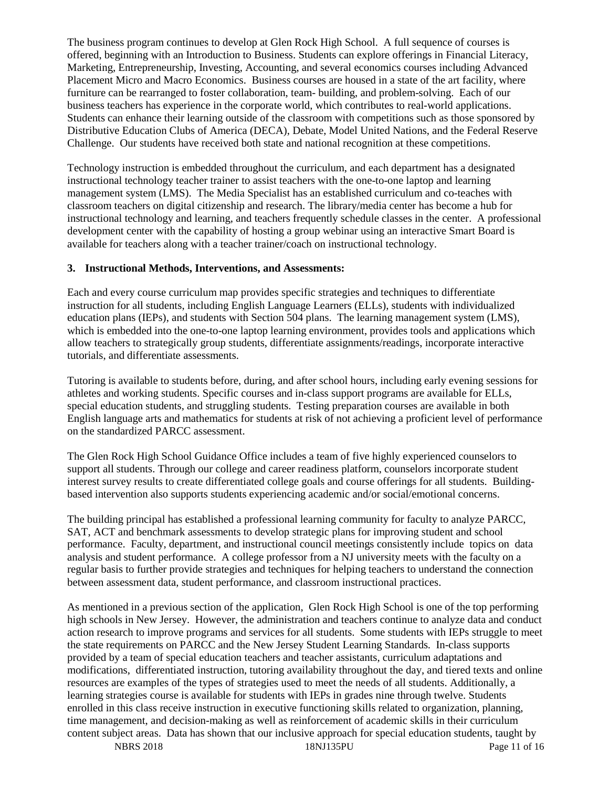The business program continues to develop at Glen Rock High School. A full sequence of courses is offered, beginning with an Introduction to Business. Students can explore offerings in Financial Literacy, Marketing, Entrepreneurship, Investing, Accounting, and several economics courses including Advanced Placement Micro and Macro Economics. Business courses are housed in a state of the art facility, where furniture can be rearranged to foster collaboration, team- building, and problem-solving. Each of our business teachers has experience in the corporate world, which contributes to real-world applications. Students can enhance their learning outside of the classroom with competitions such as those sponsored by Distributive Education Clubs of America (DECA), Debate, Model United Nations, and the Federal Reserve Challenge. Our students have received both state and national recognition at these competitions.

Technology instruction is embedded throughout the curriculum, and each department has a designated instructional technology teacher trainer to assist teachers with the one-to-one laptop and learning management system (LMS). The Media Specialist has an established curriculum and co-teaches with classroom teachers on digital citizenship and research. The library/media center has become a hub for instructional technology and learning, and teachers frequently schedule classes in the center. A professional development center with the capability of hosting a group webinar using an interactive Smart Board is available for teachers along with a teacher trainer/coach on instructional technology.

### **3. Instructional Methods, Interventions, and Assessments:**

Each and every course curriculum map provides specific strategies and techniques to differentiate instruction for all students, including English Language Learners (ELLs), students with individualized education plans (IEPs), and students with Section 504 plans. The learning management system (LMS), which is embedded into the one-to-one laptop learning environment, provides tools and applications which allow teachers to strategically group students, differentiate assignments/readings, incorporate interactive tutorials, and differentiate assessments.

Tutoring is available to students before, during, and after school hours, including early evening sessions for athletes and working students. Specific courses and in-class support programs are available for ELLs, special education students, and struggling students. Testing preparation courses are available in both English language arts and mathematics for students at risk of not achieving a proficient level of performance on the standardized PARCC assessment.

The Glen Rock High School Guidance Office includes a team of five highly experienced counselors to support all students. Through our college and career readiness platform, counselors incorporate student interest survey results to create differentiated college goals and course offerings for all students. Buildingbased intervention also supports students experiencing academic and/or social/emotional concerns.

The building principal has established a professional learning community for faculty to analyze PARCC, SAT, ACT and benchmark assessments to develop strategic plans for improving student and school performance. Faculty, department, and instructional council meetings consistently include topics on data analysis and student performance. A college professor from a NJ university meets with the faculty on a regular basis to further provide strategies and techniques for helping teachers to understand the connection between assessment data, student performance, and classroom instructional practices.

As mentioned in a previous section of the application, Glen Rock High School is one of the top performing high schools in New Jersey. However, the administration and teachers continue to analyze data and conduct action research to improve programs and services for all students. Some students with IEPs struggle to meet the state requirements on PARCC and the New Jersey Student Learning Standards. In-class supports provided by a team of special education teachers and teacher assistants, curriculum adaptations and modifications, differentiated instruction, tutoring availability throughout the day, and tiered texts and online resources are examples of the types of strategies used to meet the needs of all students. Additionally, a learning strategies course is available for students with IEPs in grades nine through twelve. Students enrolled in this class receive instruction in executive functioning skills related to organization, planning, time management, and decision-making as well as reinforcement of academic skills in their curriculum content subject areas. Data has shown that our inclusive approach for special education students, taught by

NBRS 2018 18NJ135PU Page 11 of 16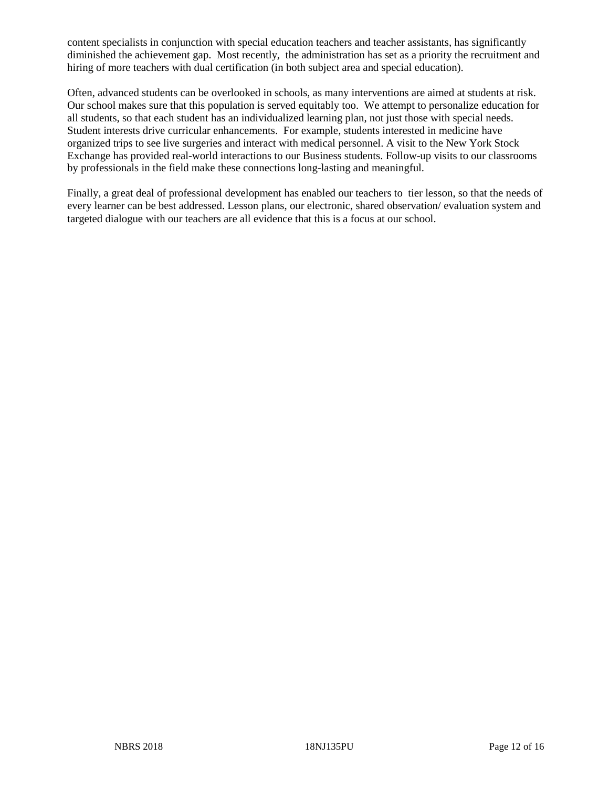content specialists in conjunction with special education teachers and teacher assistants, has significantly diminished the achievement gap. Most recently, the administration has set as a priority the recruitment and hiring of more teachers with dual certification (in both subject area and special education).

Often, advanced students can be overlooked in schools, as many interventions are aimed at students at risk. Our school makes sure that this population is served equitably too. We attempt to personalize education for all students, so that each student has an individualized learning plan, not just those with special needs. Student interests drive curricular enhancements. For example, students interested in medicine have organized trips to see live surgeries and interact with medical personnel. A visit to the New York Stock Exchange has provided real-world interactions to our Business students. Follow-up visits to our classrooms by professionals in the field make these connections long-lasting and meaningful.

Finally, a great deal of professional development has enabled our teachers to tier lesson, so that the needs of every learner can be best addressed. Lesson plans, our electronic, shared observation/ evaluation system and targeted dialogue with our teachers are all evidence that this is a focus at our school.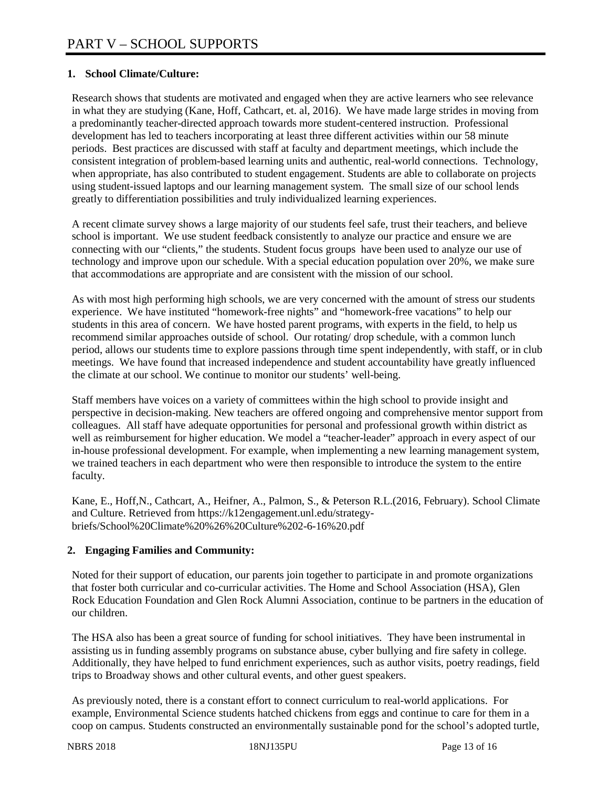# **1. School Climate/Culture:**

Research shows that students are motivated and engaged when they are active learners who see relevance in what they are studying (Kane, Hoff, Cathcart, et. al, 2016). We have made large strides in moving from a predominantly teacher-directed approach towards more student-centered instruction. Professional development has led to teachers incorporating at least three different activities within our 58 minute periods. Best practices are discussed with staff at faculty and department meetings, which include the consistent integration of problem-based learning units and authentic, real-world connections. Technology, when appropriate, has also contributed to student engagement. Students are able to collaborate on projects using student-issued laptops and our learning management system. The small size of our school lends greatly to differentiation possibilities and truly individualized learning experiences.

A recent climate survey shows a large majority of our students feel safe, trust their teachers, and believe school is important. We use student feedback consistently to analyze our practice and ensure we are connecting with our "clients," the students. Student focus groups have been used to analyze our use of technology and improve upon our schedule. With a special education population over 20%, we make sure that accommodations are appropriate and are consistent with the mission of our school.

As with most high performing high schools, we are very concerned with the amount of stress our students experience. We have instituted "homework-free nights" and "homework-free vacations" to help our students in this area of concern. We have hosted parent programs, with experts in the field, to help us recommend similar approaches outside of school. Our rotating/ drop schedule, with a common lunch period, allows our students time to explore passions through time spent independently, with staff, or in club meetings. We have found that increased independence and student accountability have greatly influenced the climate at our school. We continue to monitor our students' well-being.

Staff members have voices on a variety of committees within the high school to provide insight and perspective in decision-making. New teachers are offered ongoing and comprehensive mentor support from colleagues. All staff have adequate opportunities for personal and professional growth within district as well as reimbursement for higher education. We model a "teacher-leader" approach in every aspect of our in-house professional development. For example, when implementing a new learning management system, we trained teachers in each department who were then responsible to introduce the system to the entire faculty.

Kane, E., Hoff,N., Cathcart, A., Heifner, A., Palmon, S., & Peterson R.L.(2016, February). School Climate and Culture. Retrieved from https://k12engagement.unl.edu/strategybriefs/School%20Climate%20%26%20Culture%202-6-16%20.pdf

## **2. Engaging Families and Community:**

Noted for their support of education, our parents join together to participate in and promote organizations that foster both curricular and co-curricular activities. The Home and School Association (HSA), Glen Rock Education Foundation and Glen Rock Alumni Association, continue to be partners in the education of our children.

The HSA also has been a great source of funding for school initiatives. They have been instrumental in assisting us in funding assembly programs on substance abuse, cyber bullying and fire safety in college. Additionally, they have helped to fund enrichment experiences, such as author visits, poetry readings, field trips to Broadway shows and other cultural events, and other guest speakers.

As previously noted, there is a constant effort to connect curriculum to real-world applications. For example, Environmental Science students hatched chickens from eggs and continue to care for them in a coop on campus. Students constructed an environmentally sustainable pond for the school's adopted turtle,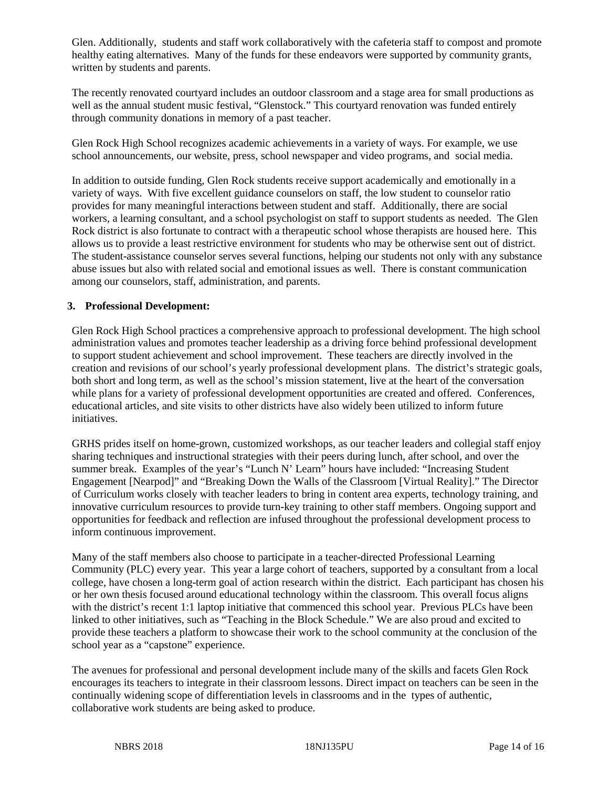Glen. Additionally, students and staff work collaboratively with the cafeteria staff to compost and promote healthy eating alternatives. Many of the funds for these endeavors were supported by community grants, written by students and parents.

The recently renovated courtyard includes an outdoor classroom and a stage area for small productions as well as the annual student music festival, "Glenstock." This courtyard renovation was funded entirely through community donations in memory of a past teacher.

Glen Rock High School recognizes academic achievements in a variety of ways. For example, we use school announcements, our website, press, school newspaper and video programs, and social media.

In addition to outside funding, Glen Rock students receive support academically and emotionally in a variety of ways. With five excellent guidance counselors on staff, the low student to counselor ratio provides for many meaningful interactions between student and staff. Additionally, there are social workers, a learning consultant, and a school psychologist on staff to support students as needed. The Glen Rock district is also fortunate to contract with a therapeutic school whose therapists are housed here. This allows us to provide a least restrictive environment for students who may be otherwise sent out of district. The student-assistance counselor serves several functions, helping our students not only with any substance abuse issues but also with related social and emotional issues as well. There is constant communication among our counselors, staff, administration, and parents.

#### **3. Professional Development:**

Glen Rock High School practices a comprehensive approach to professional development. The high school administration values and promotes teacher leadership as a driving force behind professional development to support student achievement and school improvement. These teachers are directly involved in the creation and revisions of our school's yearly professional development plans. The district's strategic goals, both short and long term, as well as the school's mission statement, live at the heart of the conversation while plans for a variety of professional development opportunities are created and offered. Conferences, educational articles, and site visits to other districts have also widely been utilized to inform future initiatives.

GRHS prides itself on home-grown, customized workshops, as our teacher leaders and collegial staff enjoy sharing techniques and instructional strategies with their peers during lunch, after school, and over the summer break. Examples of the year's "Lunch N' Learn" hours have included: "Increasing Student" Engagement [Nearpod]" and "Breaking Down the Walls of the Classroom [Virtual Reality]." The Director of Curriculum works closely with teacher leaders to bring in content area experts, technology training, and innovative curriculum resources to provide turn-key training to other staff members. Ongoing support and opportunities for feedback and reflection are infused throughout the professional development process to inform continuous improvement.

Many of the staff members also choose to participate in a teacher-directed Professional Learning Community (PLC) every year. This year a large cohort of teachers, supported by a consultant from a local college, have chosen a long-term goal of action research within the district. Each participant has chosen his or her own thesis focused around educational technology within the classroom. This overall focus aligns with the district's recent 1:1 laptop initiative that commenced this school year. Previous PLCs have been linked to other initiatives, such as "Teaching in the Block Schedule." We are also proud and excited to provide these teachers a platform to showcase their work to the school community at the conclusion of the school year as a "capstone" experience.

The avenues for professional and personal development include many of the skills and facets Glen Rock encourages its teachers to integrate in their classroom lessons. Direct impact on teachers can be seen in the continually widening scope of differentiation levels in classrooms and in the types of authentic, collaborative work students are being asked to produce.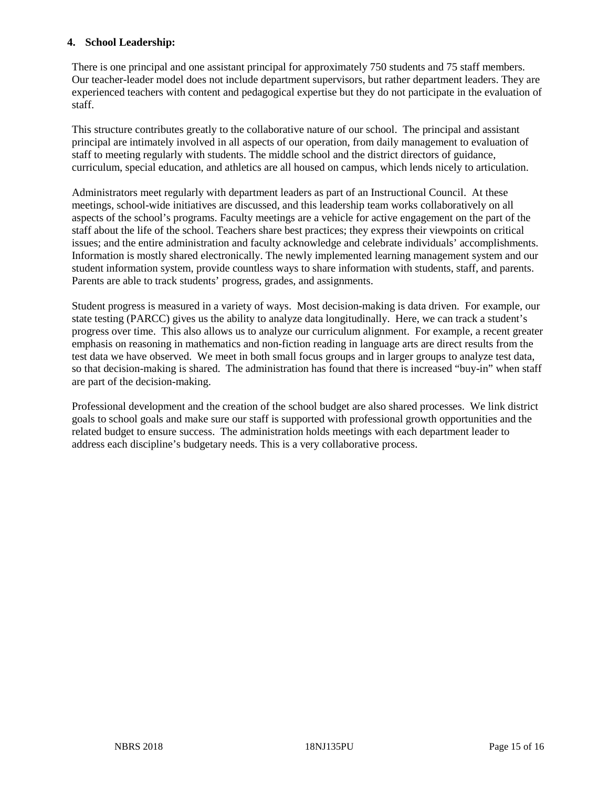## **4. School Leadership:**

There is one principal and one assistant principal for approximately 750 students and 75 staff members. Our teacher-leader model does not include department supervisors, but rather department leaders. They are experienced teachers with content and pedagogical expertise but they do not participate in the evaluation of staff.

This structure contributes greatly to the collaborative nature of our school. The principal and assistant principal are intimately involved in all aspects of our operation, from daily management to evaluation of staff to meeting regularly with students. The middle school and the district directors of guidance, curriculum, special education, and athletics are all housed on campus, which lends nicely to articulation.

Administrators meet regularly with department leaders as part of an Instructional Council. At these meetings, school-wide initiatives are discussed, and this leadership team works collaboratively on all aspects of the school's programs. Faculty meetings are a vehicle for active engagement on the part of the staff about the life of the school. Teachers share best practices; they express their viewpoints on critical issues; and the entire administration and faculty acknowledge and celebrate individuals' accomplishments. Information is mostly shared electronically. The newly implemented learning management system and our student information system, provide countless ways to share information with students, staff, and parents. Parents are able to track students' progress, grades, and assignments.

Student progress is measured in a variety of ways. Most decision-making is data driven. For example, our state testing (PARCC) gives us the ability to analyze data longitudinally. Here, we can track a student's progress over time. This also allows us to analyze our curriculum alignment. For example, a recent greater emphasis on reasoning in mathematics and non-fiction reading in language arts are direct results from the test data we have observed. We meet in both small focus groups and in larger groups to analyze test data, so that decision-making is shared. The administration has found that there is increased "buy-in" when staff are part of the decision-making.

Professional development and the creation of the school budget are also shared processes. We link district goals to school goals and make sure our staff is supported with professional growth opportunities and the related budget to ensure success. The administration holds meetings with each department leader to address each discipline's budgetary needs. This is a very collaborative process.